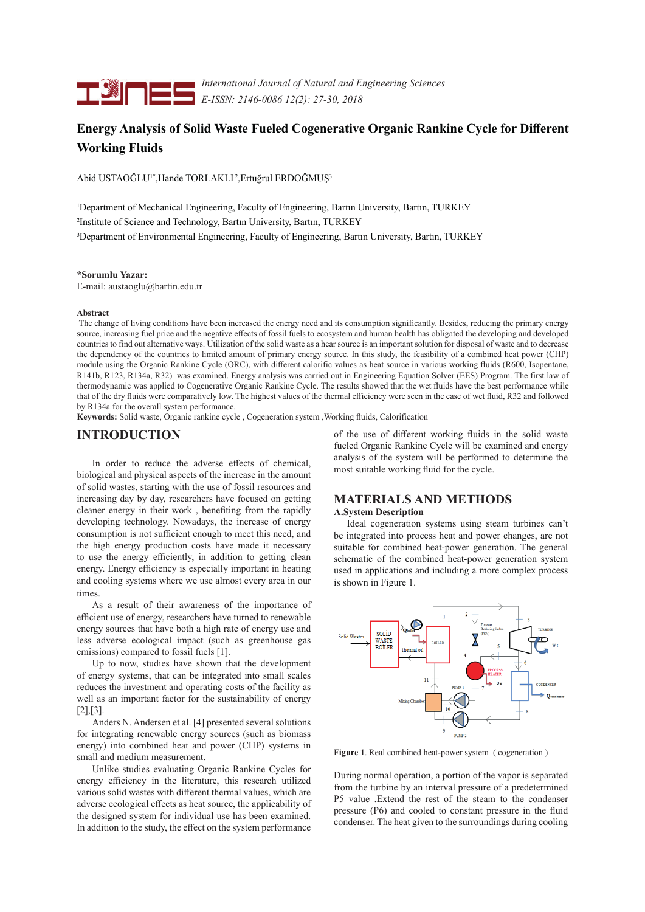

*Internatıonal Journal of Natural and Engineering Sciences E-ISSN: 2146-0086 12(2): 27-30, 2018*

## **Energy Analysis of Solid Waste Fueled Cogenerative Organic Rankine Cycle for Different Working Fluids**

Abid USTAOĞLU1\*,Hande TORLAKLI 2,Ertuğrul ERDOĞMUŞ<sup>3</sup>

1Department of Mechanical Engineering, Faculty of Engineering, Bartın University, Bartın, TURKEY 2Institute of Science and Technology, Bartın University, Bartın, TURKEY 3Department of Environmental Engineering, Faculty of Engineering, Bartın University, Bartın, TURKEY

#### **\*Sorumlu Yazar:**

E-mail: austaoglu@bartin.edu.tr

#### **Abstract**

 The change of living conditions have been increased the energy need and its consumption significantly. Besides, reducing the primary energy source, increasing fuel price and the negative effects of fossil fuels to ecosystem and human health has obligated the developing and developed countries to find out alternative ways. Utilization of the solid waste as a hear source is an important solution for disposal of waste and to decrease the dependency of the countries to limited amount of primary energy source. In this study, the feasibility of a combined heat power (CHP) module using the Organic Rankine Cycle (ORC), with different calorific values as heat source in various working fluids (R600, Isopentane, R141b, R123, R134a, R32) was examined. Energy analysis was carried out in Engineering Equation Solver (EES) Program. The first law of thermodynamic was applied to Cogenerative Organic Rankine Cycle. The results showed that the wet fluids have the best performance while that of the dry fluids were comparatively low. The highest values of the thermal efficiency were seen in the case of wet fluid, R32 and followed by R134a for the overall system performance.

**Keywords:** Solid waste, Organic rankine cycle , Cogeneration system ,Working fluids, Calorification

## **INTRODUCTION**

In order to reduce the adverse effects of chemical, biological and physical aspects of the increase in the amount of solid wastes, starting with the use of fossil resources and increasing day by day, researchers have focused on getting cleaner energy in their work , benefiting from the rapidly developing technology. Nowadays, the increase of energy consumption is not sufficient enough to meet this need, and the high energy production costs have made it necessary to use the energy efficiently, in addition to getting clean energy. Energy efficiency is especially important in heating and cooling systems where we use almost every area in our times.

As a result of their awareness of the importance of efficient use of energy, researchers have turned to renewable energy sources that have both a high rate of energy use and less adverse ecological impact (such as greenhouse gas emissions) compared to fossil fuels [1].

Up to now, studies have shown that the development of energy systems, that can be integrated into small scales reduces the investment and operating costs of the facility as well as an important factor for the sustainability of energy [2],[3].

Anders N. Andersen et al. [4] presented several solutions for integrating renewable energy sources (such as biomass energy) into combined heat and power (CHP) systems in small and medium measurement.

Unlike studies evaluating Organic Rankine Cycles for energy efficiency in the literature, this research utilized various solid wastes with different thermal values, which are adverse ecological effects as heat source, the applicability of the designed system for individual use has been examined. In addition to the study, the effect on the system performance

of the use of different working fluids in the solid waste fueled Organic Rankine Cycle will be examined and energy analysis of the system will be performed to determine the most suitable working fluid for the cycle.

# **MATERIALS AND METHODS**

### **A.System Description**

 Ideal cogeneration systems using steam turbines can't be integrated into process heat and power changes, are not suitable for combined heat-power generation. The general schematic of the combined heat-power generation system used in applications and including a more complex process is shown in Figure 1.



**Figure 1**. Real combined heat-power system ( cogeneration )

During normal operation, a portion of the vapor is separated from the turbine by an interval pressure of a predetermined P5 value .Extend the rest of the steam to the condenser pressure (P6) and cooled to constant pressure in the fluid condenser. The heat given to the surroundings during cooling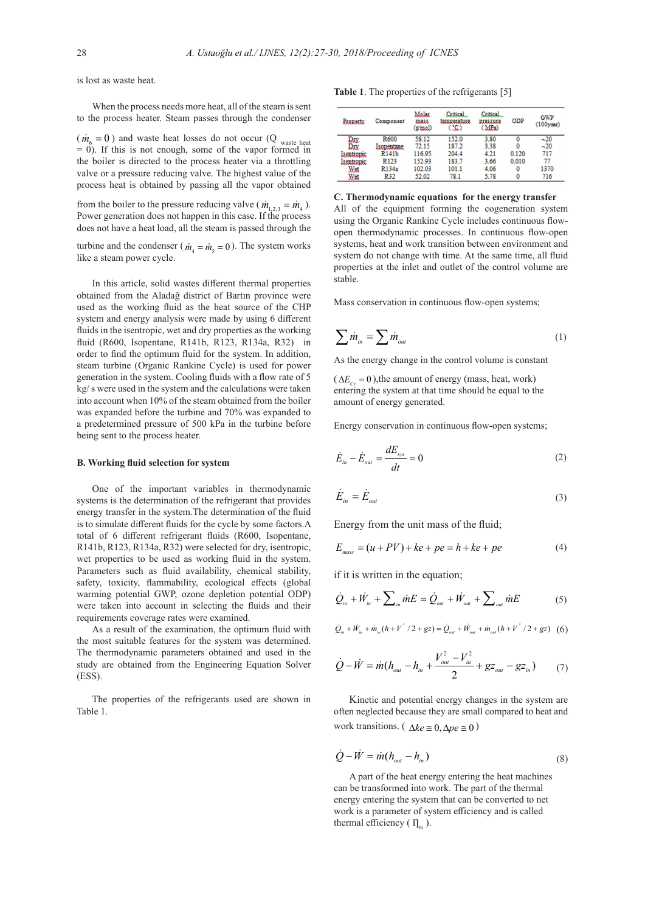is lost as waste heat.

When the process needs more heat, all of the steam is sent to the process heater. Steam passes through the condenser

 $(m_6 = 0)$  and waste heat losses do not occur (Q waste heat = 0). If this is not enough, some of the vapor formed in the boiler is directed to the process heater via a throttling valve or a pressure reducing valve. The highest value of the process heat is obtained by passing all the vapor obtained

from the boiler to the pressure reducing valve ( $\dot{m}_{1,2,3} = \dot{m}_4$ ). Power generation does not happen in this case. If the process does not have a heat load, all the steam is passed through the

turbine and the condenser ( $\dot{m}_4 = \dot{m}_5 = 0$ ). The system works like a steam power cycle.

In this article, solid wastes different thermal properties obtained from the Aladağ district of Bartın province were used as the working fluid as the heat source of the CHP system and energy analysis were made by using 6 different fluids in the isentropic, wet and dry properties as the working fluid (R600, Isopentane, R141b, R123, R134a, R32) in order to find the optimum fluid for the system. In addition, steam turbine (Organic Rankine Cycle) is used for power generation in the system. Cooling fluids with a flow rate of 5 kg/ s were used in the system and the calculations were taken into account when 10% of the steam obtained from the boiler was expanded before the turbine and 70% was expanded to a predetermined pressure of 500 kPa in the turbine before being sent to the process heater.

#### **B. Working fluid selection for system**

One of the important variables in thermodynamic systems is the determination of the refrigerant that provides energy transfer in the system.The determination of the fluid is to simulate different fluids for the cycle by some factors.A total of 6 different refrigerant fluids (R600, Isopentane, R141b, R123, R134a, R32) were selected for dry, isentropic, wet properties to be used as working fluid in the system. Parameters such as fluid availability, chemical stability, safety, toxicity, flammability, ecological effects (global warming potential GWP, ozone depletion potential ODP) were taken into account in selecting the fluids and their requirements coverage rates were examined.

As a result of the examination, the optimum fluid with the most suitable features for the system was determined. The thermodynamic parameters obtained and used in the study are obtained from the Engineering Equation Solver (ESS).

The properties of the refrigerants used are shown in Table 1.

|  |  |  |  | <b>Table 1.</b> The properties of the refrigerants [5] |  |
|--|--|--|--|--------------------------------------------------------|--|
|--|--|--|--|--------------------------------------------------------|--|

| Property          | Component          | Molar<br>mass.<br>(g/mol) | Critical<br>temperature.<br>$C_2$ | Critical<br>pressure<br>(MPa) | <b>ODP</b> | <b>GWP</b><br>$(100$ year) |
|-------------------|--------------------|---------------------------|-----------------------------------|-------------------------------|------------|----------------------------|
| Dry               | R600               | 58.12                     | 152.0                             | 3.80                          | 0          | $-20$                      |
| Dry               | <b>Isopentane</b>  | 72.15                     | 187.2                             | 3.38                          | 0          | $-20$                      |
| <b>Isentropic</b> | R <sub>141</sub> b | 116.95                    | 204.4                             | 4.21                          | 0.120      | 717                        |
| <b>Isentropic</b> | R <sub>123</sub>   | 152.93                    | 183.7                             | 3.66                          | 0.010      | 77                         |
| Wet               | R134a              | 102.03                    | 101.1                             | 4.06                          | 0          | 1370                       |
| Wet               | R32                | 52.02                     | 78.1                              | 5.78                          | 0          | 716                        |

#### **C. Thermodynamic equations for the energy transfer**

All of the equipment forming the cogeneration system using the Organic Rankine Cycle includes continuous flowopen thermodynamic processes. In continuous flow-open systems, heat and work transition between environment and system do not change with time. At the same time, all fluid properties at the inlet and outlet of the control volume are stable.

Mass conservation in continuous flow-open systems;

$$
\sum \dot{m}_{in} = \sum \dot{m}_{out} \tag{1}
$$

As the energy change in the control volume is constant

 $(\Delta E_c = 0)$ , the amount of energy (mass, heat, work) entering the system at that time should be equal to the amount of energy generated.

Energy conservation in continuous flow-open systems;

$$
\dot{E}_{in} - \dot{E}_{out} = \frac{dE_{sys}}{dt} = 0
$$
\n(2)

$$
\dot{E}_{in} = \dot{E}_{out} \tag{3}
$$

Energy from the unit mass of the fluid;

$$
E_{\text{mass}} = (u + PV) + ke + pe = h + ke + pe \tag{4}
$$

if it is written in the equation;

$$
\dot{Q}_{in} + \dot{W}_{in} + \sum_{in} mE = \dot{Q}_{out} + \dot{W}_{out} + \sum_{out} mE
$$
 (5)

$$
\dot{Q}_{in} + \dot{W}_{in} + \dot{m}_{in} (h + V^2 / 2 + gz) = \dot{Q}_{out} + \dot{W}_{out} + \dot{m}_{out} (h + V^2 / 2 + gz) \quad (6)
$$

$$
\dot{Q} - \dot{W} = \dot{m} (h_{out} - h_{in} + \frac{V_{out}^2 - V_{in}^2}{2} + gz_{out} - gz_{in})
$$
 (7)

Kinetic and potential energy changes in the system are often neglected because they are small compared to heat and work transitions. ( $\Delta ke \approx 0, \Delta pe \approx 0$ )

$$
\dot{Q} - \dot{W} = \dot{m}(h_{\text{out}} - h_{\text{in}})
$$
\n(8)

A part of the heat energy entering the heat machines can be transformed into work. The part of the thermal energy entering the system that can be converted to net work is a parameter of system efficiency and is called thermal efficiency ( $\prod_{\text{th}}$ ).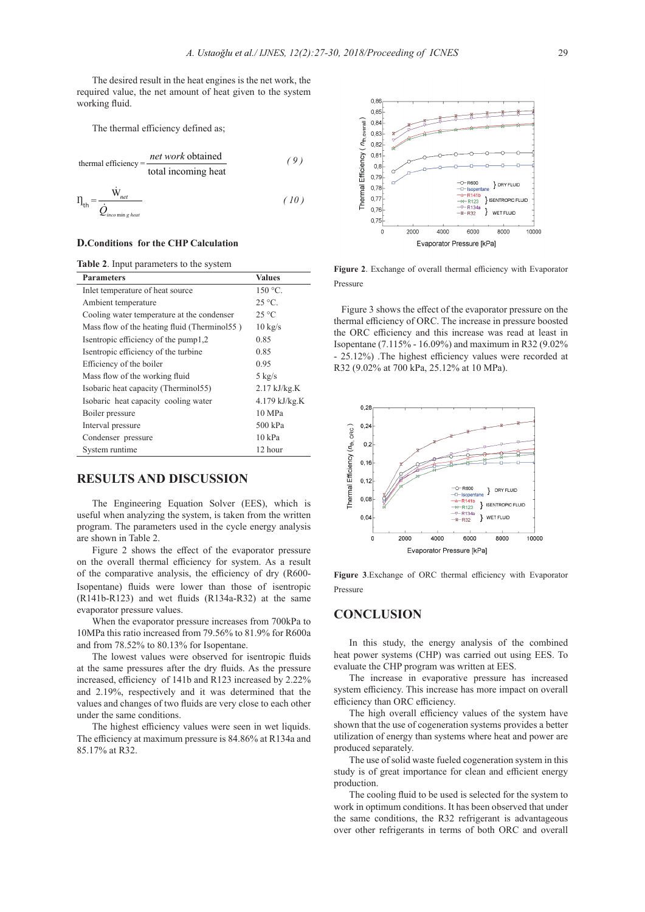The desired result in the heat engines is the net work, the required value, the net amount of heat given to the system working fluid.

The thermal efficiency defined as;

$$
thermal efficiency = \frac{net \, work \, obtained}{total \, incoming \, heat} \tag{9}
$$

$$
\Pi_{\text{th}} = \frac{\dot{W}_{net}}{\dot{Q}_{\text{incomig heat}}}
$$
\n(10)

#### **D.Conditions for the CHP Calculation**

**Table 2**. Input parameters to the system

| <b>Parameters</b>                            | <b>Values</b>     |  |
|----------------------------------------------|-------------------|--|
| Inlet temperature of heat source             | 150 °C.           |  |
| Ambient temperature                          | $25^{\circ}$ C.   |  |
| Cooling water temperature at the condenser   | $25^{\circ}$ C    |  |
| Mass flow of the heating fluid (Therminol55) | $10 \text{ kg/s}$ |  |
| Isentropic efficiency of the pump1,2         | 0.85              |  |
| Isentropic efficiency of the turbine         | 0.85              |  |
| Efficiency of the boiler                     | 0.95              |  |
| Mass flow of the working fluid               | $5 \text{ kg/s}$  |  |
| Isobaric heat capacity (Therminol55)         | $2.17$ kJ/kg.K    |  |
| Isobaric heat capacity cooling water         | $4.179$ kJ/kg.K   |  |
| Boiler pressure                              | 10 MPa            |  |
| Interval pressure                            | 500 kPa           |  |
| Condenser pressure                           | 10 kPa            |  |
| System runtime                               | 12 hour           |  |

## **RESULTS AND DISCUSSION**

The Engineering Equation Solver (EES), which is useful when analyzing the system, is taken from the written program. The parameters used in the cycle energy analysis are shown in Table 2.

Figure 2 shows the effect of the evaporator pressure on the overall thermal efficiency for system. As a result of the comparative analysis, the efficiency of dry (R600- Isopentane) fluids were lower than those of isentropic (R141b-R123) and wet fluids (R134a-R32) at the same evaporator pressure values.

When the evaporator pressure increases from 700kPa to 10MPa this ratio increased from 79.56% to 81.9% for R600a and from 78.52% to 80.13% for Isopentane.

The lowest values were observed for isentropic fluids at the same pressures after the dry fluids. As the pressure increased, efficiency of 141b and R123 increased by 2.22% and 2.19%, respectively and it was determined that the values and changes of two fluids are very close to each other under the same conditions.

The highest efficiency values were seen in wet liquids. The efficiency at maximum pressure is 84.86% at R134a and 85.17% at R32.



**Figure 2**. Exchange of overall thermal efficiency with Evaporator Pressure

 Figure 3 shows the effect of the evaporator pressure on the thermal efficiency of ORC. The increase in pressure boosted the ORC efficiency and this increase was read at least in Isopentane (7.115% - 16.09%) and maximum in R32 (9.02% - 25.12%) .The highest efficiency values were recorded at R32 (9.02% at 700 kPa, 25.12% at 10 MPa).



**Figure 3**.Exchange of ORC thermal efficiency with Evaporator Pressure

## **CONCLUSION**

In this study, the energy analysis of the combined heat power systems (CHP) was carried out using EES. To evaluate the CHP program was written at EES.

The increase in evaporative pressure has increased system efficiency. This increase has more impact on overall efficiency than ORC efficiency.

The high overall efficiency values of the system have shown that the use of cogeneration systems provides a better utilization of energy than systems where heat and power are produced separately.

The use of solid waste fueled cogeneration system in this study is of great importance for clean and efficient energy production.

The cooling fluid to be used is selected for the system to work in optimum conditions. It has been observed that under the same conditions, the R32 refrigerant is advantageous over other refrigerants in terms of both ORC and overall